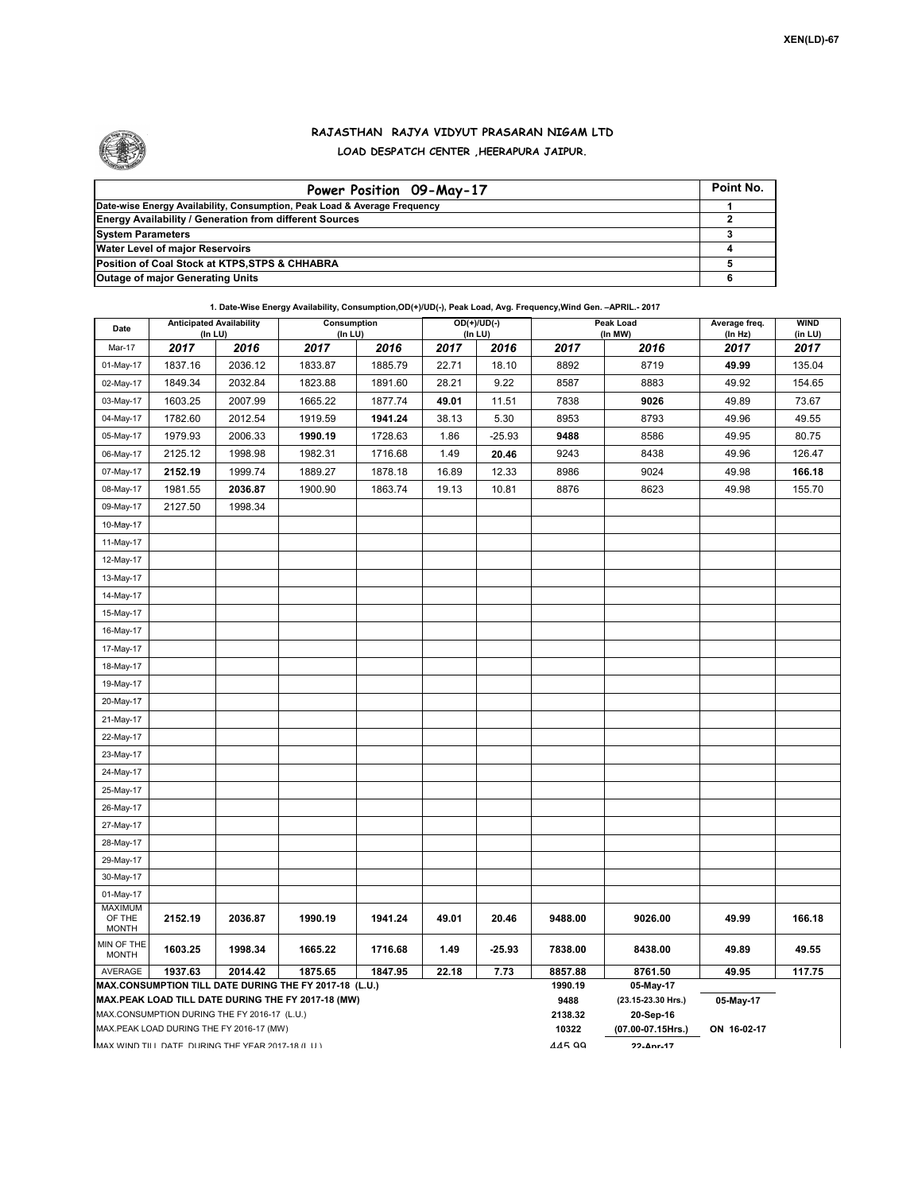

## **RAJASTHAN RAJYA VIDYUT PRASARAN NIGAM LTD LOAD DESPATCH CENTER ,HEERAPURA JAIPUR.**

| Power Position 09-May-17                                                  | Point No. |
|---------------------------------------------------------------------------|-----------|
| Date-wise Energy Availability, Consumption, Peak Load & Average Frequency |           |
| <b>Energy Availability / Generation from different Sources</b>            |           |
| <b>System Parameters</b>                                                  |           |
| <b>Water Level of major Reservoirs</b>                                    |           |
| Position of Coal Stock at KTPS, STPS & CHHABRA                            |           |
| <b>Outage of major Generating Units</b>                                   |           |

**1. Date-Wise Energy Availability, Consumption,OD(+)/UD(-), Peak Load, Avg. Frequency,Wind Gen. –APRIL.- 2017**

| Date                                                                                               | <b>Anticipated Availability</b><br>$($ In LU $)$ |         | Consumption<br>(In LU) |         | $OD(+)/UD(-)$<br>$($ In LU $)$ |          | Peak Load<br>(In MW) |                                 | Average freq.<br>(In Hz) | <b>WIND</b><br>(in LU) |
|----------------------------------------------------------------------------------------------------|--------------------------------------------------|---------|------------------------|---------|--------------------------------|----------|----------------------|---------------------------------|--------------------------|------------------------|
| Mar-17                                                                                             | 2017                                             | 2016    | 2017                   | 2016    | 2017                           | 2016     | 2017                 | 2016                            | 2017                     | 2017                   |
| 01-May-17                                                                                          | 1837.16                                          | 2036.12 | 1833.87                | 1885.79 | 22.71                          | 18.10    | 8892                 | 8719                            | 49.99                    | 135.04                 |
| 02-May-17                                                                                          | 1849.34                                          | 2032.84 | 1823.88                | 1891.60 | 28.21                          | 9.22     | 8587                 | 8883                            | 49.92                    | 154.65                 |
| 03-May-17                                                                                          | 1603.25                                          | 2007.99 | 1665.22                | 1877.74 | 49.01                          | 11.51    | 7838                 | 9026                            | 49.89                    | 73.67                  |
| 04-May-17                                                                                          | 1782.60                                          | 2012.54 | 1919.59                | 1941.24 | 38.13                          | 5.30     | 8953                 | 8793                            | 49.96                    | 49.55                  |
| 05-May-17                                                                                          | 1979.93                                          | 2006.33 | 1990.19                | 1728.63 | 1.86                           | $-25.93$ | 9488                 | 8586                            | 49.95                    | 80.75                  |
| 06-May-17                                                                                          | 2125.12                                          | 1998.98 | 1982.31                | 1716.68 | 1.49                           | 20.46    | 9243                 | 8438                            | 49.96                    | 126.47                 |
| 07-May-17                                                                                          | 2152.19                                          | 1999.74 | 1889.27                | 1878.18 | 16.89                          | 12.33    | 8986                 | 9024                            | 49.98                    | 166.18                 |
| 08-May-17                                                                                          | 1981.55                                          | 2036.87 | 1900.90                | 1863.74 | 19.13                          | 10.81    | 8876                 | 8623                            | 49.98                    | 155.70                 |
| 09-May-17                                                                                          | 2127.50                                          | 1998.34 |                        |         |                                |          |                      |                                 |                          |                        |
| 10-May-17                                                                                          |                                                  |         |                        |         |                                |          |                      |                                 |                          |                        |
| 11-May-17                                                                                          |                                                  |         |                        |         |                                |          |                      |                                 |                          |                        |
| 12-May-17                                                                                          |                                                  |         |                        |         |                                |          |                      |                                 |                          |                        |
| 13-May-17                                                                                          |                                                  |         |                        |         |                                |          |                      |                                 |                          |                        |
| 14-May-17                                                                                          |                                                  |         |                        |         |                                |          |                      |                                 |                          |                        |
| 15-May-17                                                                                          |                                                  |         |                        |         |                                |          |                      |                                 |                          |                        |
| 16-May-17                                                                                          |                                                  |         |                        |         |                                |          |                      |                                 |                          |                        |
| 17-May-17                                                                                          |                                                  |         |                        |         |                                |          |                      |                                 |                          |                        |
| 18-May-17                                                                                          |                                                  |         |                        |         |                                |          |                      |                                 |                          |                        |
| 19-May-17                                                                                          |                                                  |         |                        |         |                                |          |                      |                                 |                          |                        |
| 20-May-17                                                                                          |                                                  |         |                        |         |                                |          |                      |                                 |                          |                        |
| 21-May-17                                                                                          |                                                  |         |                        |         |                                |          |                      |                                 |                          |                        |
| 22-May-17                                                                                          |                                                  |         |                        |         |                                |          |                      |                                 |                          |                        |
| 23-May-17                                                                                          |                                                  |         |                        |         |                                |          |                      |                                 |                          |                        |
| 24-May-17                                                                                          |                                                  |         |                        |         |                                |          |                      |                                 |                          |                        |
| 25-May-17                                                                                          |                                                  |         |                        |         |                                |          |                      |                                 |                          |                        |
| 26-May-17                                                                                          |                                                  |         |                        |         |                                |          |                      |                                 |                          |                        |
| 27-May-17                                                                                          |                                                  |         |                        |         |                                |          |                      |                                 |                          |                        |
| 28-May-17                                                                                          |                                                  |         |                        |         |                                |          |                      |                                 |                          |                        |
| 29-May-17                                                                                          |                                                  |         |                        |         |                                |          |                      |                                 |                          |                        |
| 30-May-17                                                                                          |                                                  |         |                        |         |                                |          |                      |                                 |                          |                        |
| 01-May-17                                                                                          |                                                  |         |                        |         |                                |          |                      |                                 |                          |                        |
| <b>MAXIMUM</b><br>OF THE<br><b>MONTH</b>                                                           | 2152.19                                          | 2036.87 | 1990.19                | 1941.24 | 49.01                          | 20.46    | 9488.00              | 9026.00                         | 49.99                    | 166.18                 |
| MIN OF THE<br><b>MONTH</b>                                                                         | 1603.25                                          | 1998.34 | 1665.22                | 1716.68 | 1.49                           | $-25.93$ | 7838.00              | 8438.00                         | 49.89                    | 49.55                  |
| AVERAGE                                                                                            | 1937.63                                          | 2014.42 | 1875.65                | 1847.95 | 22.18                          | 7.73     | 8857.88              | 8761.50                         | 49.95                    | 117.75                 |
| MAX.CONSUMPTION TILL DATE DURING THE FY 2017-18 (L.U.)                                             |                                                  |         |                        |         |                                |          | 1990.19<br>9488      | 05-May-17                       | 05-May-17                |                        |
| MAX.PEAK LOAD TILL DATE DURING THE FY 2017-18 (MW)<br>MAX.CONSUMPTION DURING THE FY 2016-17 (L.U.) |                                                  |         |                        |         |                                |          | 2138.32              | (23.15-23.30 Hrs.)<br>20-Sep-16 |                          |                        |
| MAX.PEAK LOAD DURING THE FY 2016-17 (MW)                                                           |                                                  |         |                        |         |                                |          | 10322                | (07.00-07.15Hrs.)               | ON 16-02-17              |                        |
| MAX WIND TILL DATE DURING THE YEAR 2017-18 (LIT)                                                   |                                                  |         |                        |         |                                |          |                      | $22$ -Anr-17                    |                          |                        |

445.99 **22-Apr-17**

MAX WIND TILL DATE DURING THE YEAR 2017-18 (LLU.)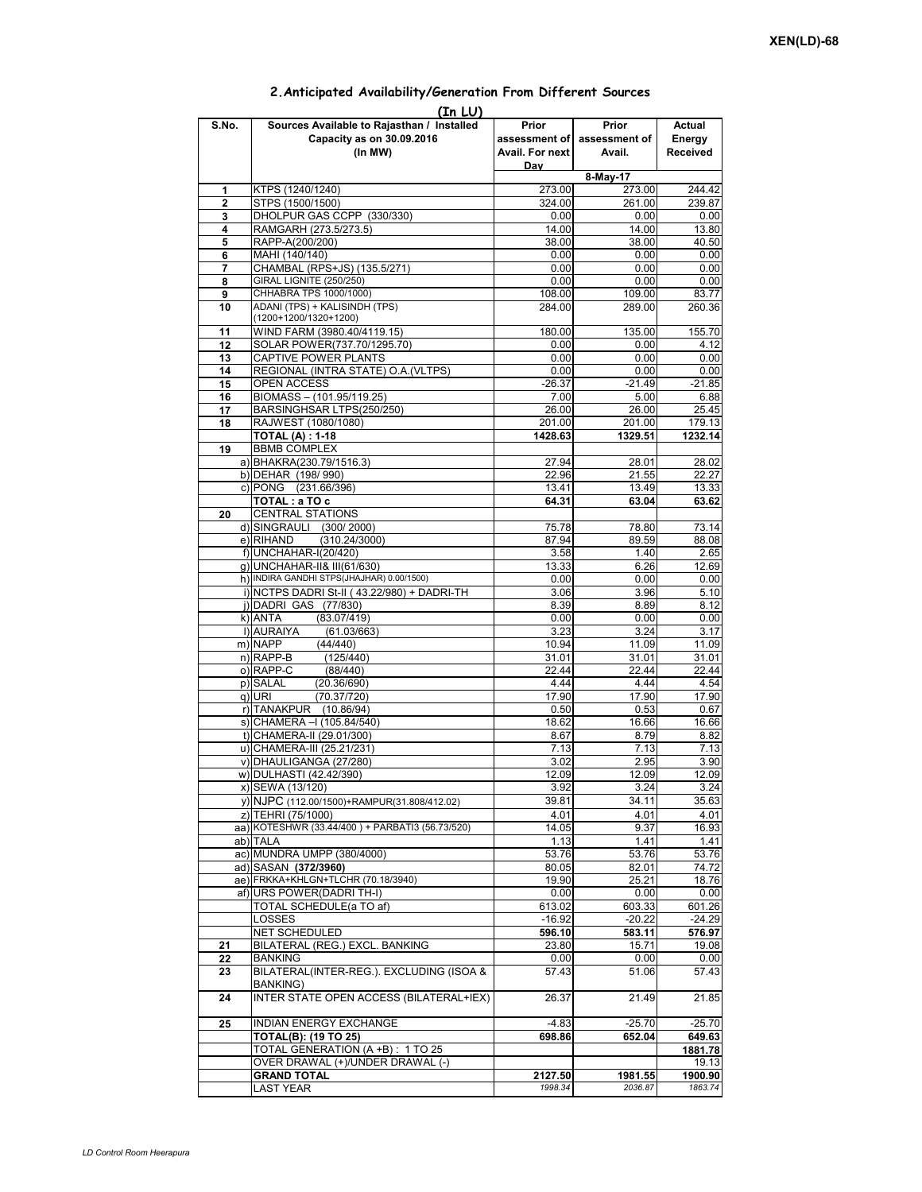|              | (In LUI)                                        |                 |               |          |
|--------------|-------------------------------------------------|-----------------|---------------|----------|
| S.No.        | Sources Available to Rajasthan / Installed      | Prior           | Prior         | Actual   |
|              | Capacity as on 30.09.2016                       | assessment of   | assessment of | Energy   |
|              | (In MW)                                         | Avail. For next | Avail.        | Received |
|              |                                                 | Dav             |               |          |
|              |                                                 |                 | 8-May-17      |          |
| 1            | KTPS (1240/1240)                                | 273.00          | 273.00        | 244.42   |
|              |                                                 |                 |               |          |
| $\mathbf{2}$ | STPS (1500/1500)                                | 324.00          | 261.00        | 239.87   |
| 3            | DHOLPUR GAS CCPP (330/330)                      | 0.00            | 0.00          | 0.00     |
| 4            | RAMGARH (273.5/273.5)                           | 14.00           | 14.00         | 13.80    |
| 5            | RAPP-A(200/200)                                 | 38.00           | 38.00         | 40.50    |
| 6            | MAHI (140/140)                                  | 0.00            | 0.00          | 0.00     |
| 7            | CHAMBAL (RPS+JS) (135.5/271)                    | 0.00            | 0.00          | 0.00     |
| 8            | <b>GIRAL LIGNITE (250/250)</b>                  | 0.00            | 0.00          | 0.00     |
| 9            | CHHABRA TPS 1000/1000)                          | 108.00          | 109.00        | 83.77    |
|              | ADANI (TPS) + KALISINDH (TPS)                   | 284.00          | 289.00        | 260.36   |
| 10           | (1200+1200/1320+1200)                           |                 |               |          |
|              |                                                 |                 |               |          |
| 11           | WIND FARM (3980.40/4119.15)                     | 180.00          | 135.00        | 155.70   |
| 12           | SOLAR POWER(737.70/1295.70)                     | 0.00            | 0.00          | 4.12     |
| 13           | CAPTIVE POWER PLANTS                            | 0.00            | 0.00          | 0.00     |
| 14           | REGIONAL (INTRA STATE) O.A. (VLTPS)             | 0.00            | 0.00          | 0.00     |
| 15           | <b>OPEN ACCESS</b>                              | $-26.37$        | $-21.49$      | $-21.85$ |
| 16           | BIOMASS - (101.95/119.25)                       | 7.00            | 5.00          | 6.88     |
| 17           | BARSINGHSAR LTPS(250/250)                       | 26.00           | 26.00         | 25.45    |
| 18           | RAJWEST (1080/1080)                             | 201.00          | 201.00        | 179.13   |
|              | <b>TOTAL (A): 1-18</b>                          |                 | 1329.51       | 1232.14  |
|              |                                                 | 1428.63         |               |          |
| 19           | <b>BBMB COMPLEX</b>                             |                 |               |          |
|              | a) BHAKRA(230.79/1516.3)                        | 27.94           | 28.01         | 28.02    |
|              | b) DEHAR (198/990)                              | 22.96           | 21.55         | 22.27    |
|              | c) PONG (231.66/396)                            | 13.41           | 13.49         | 13.33    |
|              | TOTAL: a TO c                                   | 64.31           | 63.04         | 63.62    |
| 20           | <b>CENTRAL STATIONS</b>                         |                 |               |          |
|              | d) SINGRAULI (300/2000)                         | 75.78           | 78.80         | 73.14    |
|              | e) RIHAND<br>(310.24/3000)                      | 87.94           | 89.59         | 88.08    |
|              |                                                 |                 |               |          |
|              | f) UNCHAHAR-I(20/420)                           | 3.58            | 1.40          | 2.65     |
|              | g) UNCHAHAR-II& III(61/630)                     | 13.33           | 6.26          | 12.69    |
|              | h) INDIRA GANDHI STPS(JHAJHAR) 0.00/1500)       | 0.00            | 0.00          | 0.00     |
|              | i) NCTPS DADRI St-II (43.22/980) + DADRI-TH     | 3.06            | 3.96          | 5.10     |
|              | j) DADRI GAS (77/830)                           | 8.39            | 8.89          | 8.12     |
|              | k) ANTA<br>(83.07/419)                          | 0.00            | 0.00          | 0.00     |
|              | I) AURAIYA<br>(61.03/663)                       | 3.23            | 3.24          | 3.17     |
|              | m) NAPP<br>(44/440)                             | 10.94           | 11.09         | 11.09    |
|              |                                                 |                 |               |          |
|              | n) RAPP-B<br>(125/440)                          | 31.01           | 31.01         | 31.01    |
|              | o) RAPP-C<br>(88/440)                           | 22.44           | 22.44         | 22.44    |
|              | p) SALAL<br>(20.36/690)                         | 4.44            | 4.44          | 4.54     |
|              | (70.37/720)<br>q) URI                           | 17.90           | 17.90         | 17.90    |
|              | r) TANAKPUR (10.86/94)                          | 0.50            | 0.53          | 0.67     |
|              | s) CHAMERA - (105.84/540)                       | 18.62           | 16.66         | 16.66    |
|              | t) CHAMERA-II (29.01/300)                       | 8.67            | 8.79          | 8.82     |
|              | u) CHAMERA-III (25.21/231)                      | 7.13            | 7.13          | 7.13     |
|              | v) DHAULIGANGA (27/280)                         | 3.02            | 2.95          | 3.90     |
|              |                                                 |                 |               |          |
|              | w) DULHASTI (42.42/390)                         | 12.09           | 12.09         | 12.09    |
|              | x) SEWA (13/120)                                | 3.92            | 3.24          | 3.24     |
|              | y) NJPC (112.00/1500)+RAMPUR(31.808/412.02)     | 39.81           | 34.11         | 35.63    |
|              | z) TEHRI (75/1000)                              | 4.01            | 4.01          | 4.01     |
|              | aa) KOTESHWR (33.44/400) + PARBATI3 (56.73/520) | 14.05           | 9.37          | 16.93    |
|              | ab) TALA                                        | 1.13            | 1.41          | 1.41     |
|              | ac) MUNDRA UMPP (380/4000)                      | 53.76           | 53.76         | 53.76    |
|              |                                                 |                 |               |          |
|              | ad) SASAN (372/3960)                            | 80.05           | 82.01         | 74.72    |
|              | ae) FRKKA+KHLGN+TLCHR (70.18/3940)              | 19.90           | 25.21         | 18.76    |
|              | af) URS POWER(DADRI TH-I)                       | 0.00            | 0.00          | 0.00     |
|              | TOTAL SCHEDULE(a TO af)                         | 613.02          | 603.33        | 601.26   |
|              | LOSSES                                          | $-16.92$        | $-20.22$      | $-24.29$ |
|              | <b>NET SCHEDULED</b>                            | 596.10          | 583.11        | 576.97   |
| 21           | BILATERAL (REG.) EXCL. BANKING                  | 23.80           | 15.71         | 19.08    |
| 22           | <b>BANKING</b>                                  | 0.00            | 0.00          | 0.00     |
|              |                                                 |                 |               |          |
| 23           | BILATERAL(INTER-REG.). EXCLUDING (ISOA &        | 57.43           | 51.06         | 57.43    |
|              | <b>BANKING)</b>                                 |                 |               |          |
| 24           | INTER STATE OPEN ACCESS (BILATERAL+IEX)         | 26.37           | 21.49         | 21.85    |
|              |                                                 |                 |               |          |
| 25           | INDIAN ENERGY EXCHANGE                          | $-4.83$         | $-25.70$      | $-25.70$ |
|              | <b>TOTAL(B): (19 TO 25)</b>                     | 698.86          | 652.04        | 649.63   |
|              | TOTAL GENERATION (A +B) : 1 TO 25               |                 |               | 1881.78  |
|              | OVER DRAWAL (+)/UNDER DRAWAL (-)                |                 |               | 19.13    |
|              |                                                 |                 |               |          |
|              | <b>GRAND TOTAL</b>                              | 2127.50         | 1981.55       | 1900.90  |
|              | LAST YEAR                                       | 1998.34         | 2036.87       | 1863.74  |

## **2.Anticipated Availability/Generation From Different Sources**